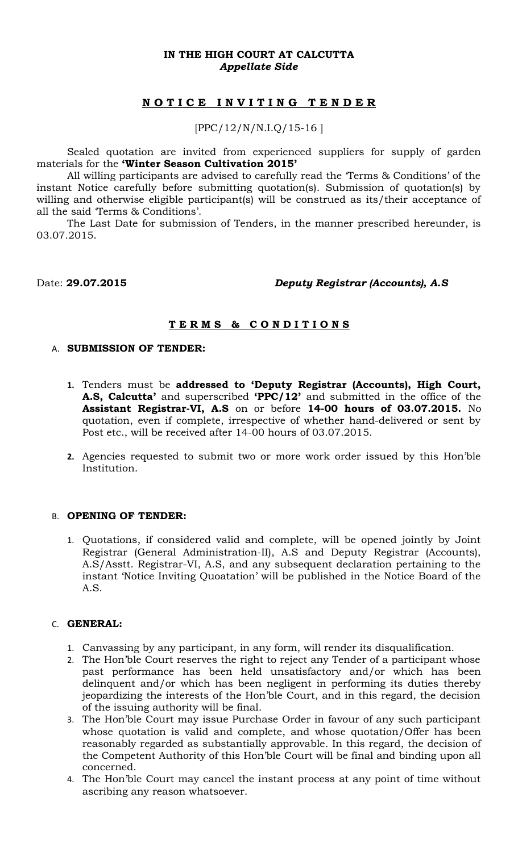## **IN THE HIGH COURT AT CALCUTTA** *Appellate Side*

# **N O T I C E I N V I T I N G T E N D E R**

## [PPC/12/N/N.I.Q/15-16 ]

Sealed quotation are invited from experienced suppliers for supply of garden materials for the **'Winter Season Cultivation 2015'**

All willing participants are advised to carefully read the 'Terms & Conditions' of the instant Notice carefully before submitting quotation(s). Submission of quotation(s) by willing and otherwise eligible participant(s) will be construed as its/their acceptance of all the said 'Terms & Conditions'.

The Last Date for submission of Tenders, in the manner prescribed hereunder, is 03.07.2015.

## Date: **29.07.2015** *Deputy Registrar (Accounts), A.S*

## **T E R M S & C O N D I T I O N S**

### A. **SUBMISSION OF TENDER:**

- **1.** Tenders must be **addressed to 'Deputy Registrar (Accounts), High Court, A.S, Calcutta'** and superscribed **'PPC/12'** and submitted in the office of the **Assistant Registrar-VI, A.S** on or before **14-00 hours of 03.07.2015.** No quotation, even if complete, irrespective of whether hand-delivered or sent by Post etc., will be received after 14-00 hours of 03.07.2015.
- **2.** Agencies requested to submit two or more work order issued by this Hon'ble Institution.

#### B. **OPENING OF TENDER:**

1. Quotations, if considered valid and complete, will be opened jointly by Joint Registrar (General Administration-II), A.S and Deputy Registrar (Accounts), A.S/Asstt. Registrar-VI, A.S, and any subsequent declaration pertaining to the instant 'Notice Inviting Quoatation' will be published in the Notice Board of the A.S.

## C. **GENERAL:**

- 1. Canvassing by any participant, in any form, will render its disqualification.
- 2. The Hon'ble Court reserves the right to reject any Tender of a participant whose past performance has been held unsatisfactory and/or which has been delinquent and/or which has been negligent in performing its duties thereby jeopardizing the interests of the Hon'ble Court, and in this regard, the decision of the issuing authority will be final.
- 3. The Hon'ble Court may issue Purchase Order in favour of any such participant whose quotation is valid and complete, and whose quotation/Offer has been reasonably regarded as substantially approvable. In this regard, the decision of the Competent Authority of this Hon'ble Court will be final and binding upon all concerned.
- 4. The Hon'ble Court may cancel the instant process at any point of time without ascribing any reason whatsoever.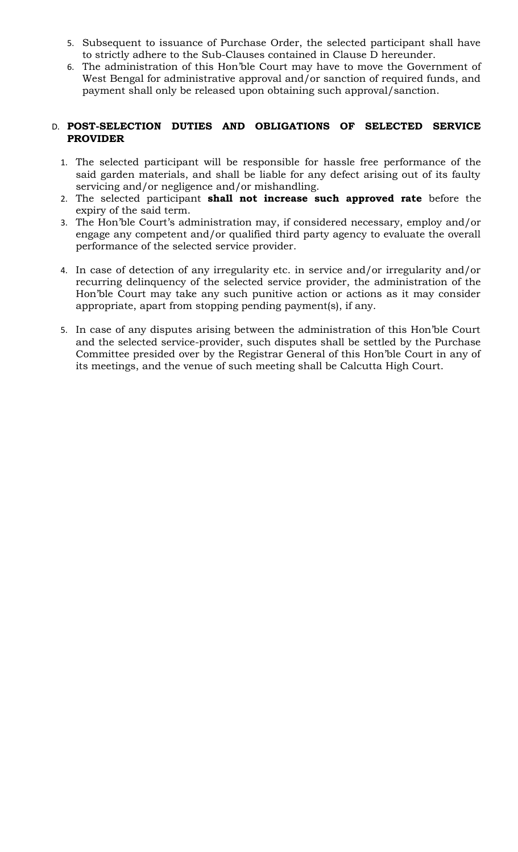- 5. Subsequent to issuance of Purchase Order, the selected participant shall have to strictly adhere to the Sub-Clauses contained in Clause D hereunder.
- 6. The administration of this Hon'ble Court may have to move the Government of West Bengal for administrative approval and/or sanction of required funds, and payment shall only be released upon obtaining such approval/sanction.

## D. **POST-SELECTION DUTIES AND OBLIGATIONS OF SELECTED SERVICE PROVIDER**

- 1. The selected participant will be responsible for hassle free performance of the said garden materials, and shall be liable for any defect arising out of its faulty servicing and/or negligence and/or mishandling.
- 2. The selected participant **shall not increase such approved rate** before the expiry of the said term.
- 3. The Hon'ble Court's administration may, if considered necessary, employ and/or engage any competent and/or qualified third party agency to evaluate the overall performance of the selected service provider.
- 4. In case of detection of any irregularity etc. in service and/or irregularity and/or recurring delinquency of the selected service provider, the administration of the Hon'ble Court may take any such punitive action or actions as it may consider appropriate, apart from stopping pending payment(s), if any.
- 5. In case of any disputes arising between the administration of this Hon'ble Court and the selected service-provider, such disputes shall be settled by the Purchase Committee presided over by the Registrar General of this Hon'ble Court in any of its meetings, and the venue of such meeting shall be Calcutta High Court.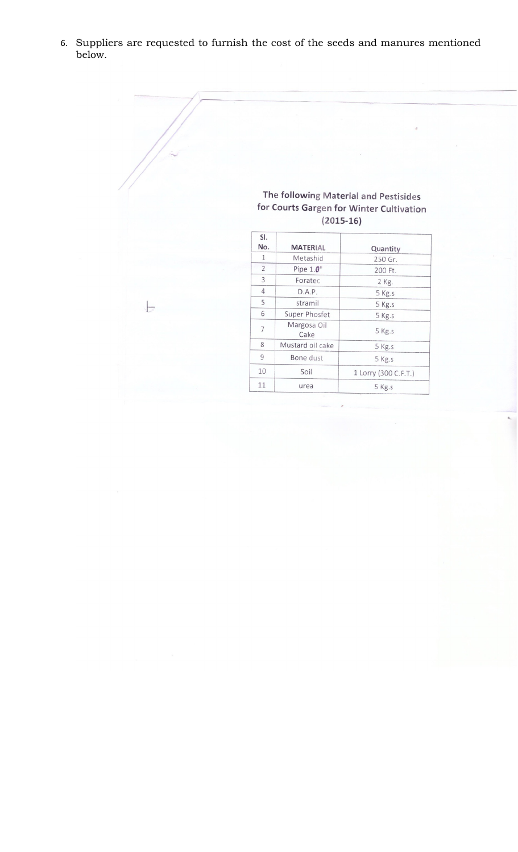6. Suppliers are requested to furnish the cost of the seeds and manures mentioned below.

|                |                |                     | $\sigma$                                 |
|----------------|----------------|---------------------|------------------------------------------|
|                |                |                     |                                          |
|                |                |                     |                                          |
|                |                |                     |                                          |
|                |                |                     |                                          |
|                |                |                     |                                          |
|                |                |                     | The following Material and Pestisides    |
|                |                |                     | for Courts Gargen for Winter Cultivation |
|                |                | $(2015-16)$         |                                          |
|                | SI.            |                     |                                          |
|                | No.            | <b>MATERIAL</b>     | Quantity                                 |
|                | $\mathbf{1}$   | Metashid            | 250 Gr.                                  |
|                | $\overline{2}$ | Pipe $1.\theta$ "   | 200 Ft.                                  |
|                | 3              | Foratec             | 2 Kg.                                    |
|                | $\overline{4}$ | D.A.P.              | 5 Kg.s                                   |
| $\overline{a}$ | 5              | stramil             | 5 Kg.s                                   |
|                | 6              | Super Phosfet       | 5 Kg.s                                   |
|                | $\overline{7}$ | Margosa Oil<br>Cake | 5 Kg.s                                   |
|                | 8              | Mustard oil cake    | 5 Kg.s                                   |
|                | $\overline{9}$ | Bone dust           | 5 Kg.s                                   |
|                |                |                     |                                          |
|                | 10             | Soil                | 1 Lorry (300 C.F.T.)                     |